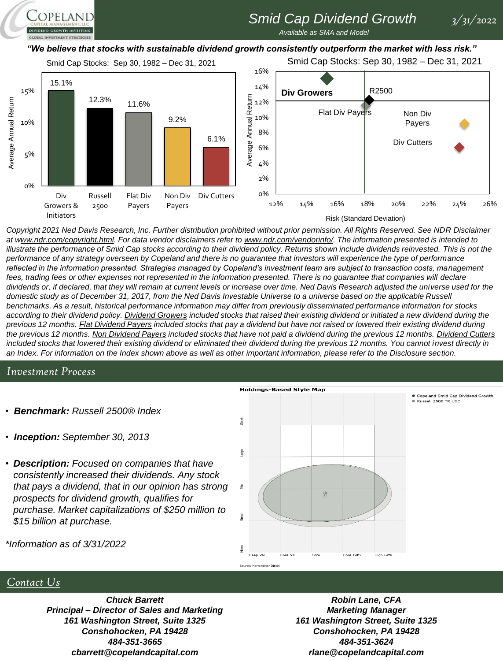# *Smid Cap Dividend Growth 3/31/2022*

*Available as SMA and Model* 

#### *"We believe that stocks with sustainable dividend growth consistently outperform the market with less risk."*

Smid Cap Stocks: Sep 30, 1982 – Dec 31, 2021

**OPELAND** 

Smid Cap Stocks: Sep 30, 1982 – Dec 31, 2021



#### Risk (Standard Deviation)

Copeland Smid Cap Dividend Growth Russell 2500 TR USD

*Copyright 2021 Ned Davis Research, Inc. Further distribution prohibited without prior permission. All Rights Reserved. See NDR Disclaimer at www.ndr.com/copyright.html. For data vendor disclaimers refer to www.ndr.com/vendorinfo/. The information presented is intended to illustrate the performance of Smid Cap stocks according to their dividend policy. Returns shown include dividends reinvested. This is not the performance of any strategy overseen by Copeland and there is no guarantee that investors will experience the type of performance reflected in the information presented. Strategies managed by Copeland's investment team are subject to transaction costs, management*  fees, trading fees or other expenses not represented in the information presented. There is no guarantee that companies will declare *dividends or, if declared, that they will remain at current levels or increase over time. Ned Davis Research adjusted the universe used for the domestic study as of December 31, 2017, from the Ned Davis Investable Universe to a universe based on the applicable Russell benchmarks. As a result, historical performance information may differ from previously disseminated performance information for stocks according to their dividend policy. Dividend Growers included stocks that raised their existing dividend or initiated a new dividend during the previous 12 months. Flat Dividend Payers included stocks that pay a dividend but have not raised or lowered their existing dividend during the previous 12 months. Non Dividend Payers included stocks that have not paid a dividend during the previous 12 months. Dividend Cutters* included stocks that lowered their existing dividend or eliminated their dividend during the previous 12 months. You cannot invest directly in *an Index. For information on the Index shown above as well as other important information, please refer to the Disclosure section.*

#### *Investment Process*

- *Benchmark: Russell 2500® Index*
- *Inception: September 30, 2013*
- *Description: Focused on companies that have consistently increased their dividends. Any stock that pays a dividend, that in our opinion has strong prospects for dividend growth, qualifies for purchase. Market capitalizations of \$250 million to \$15 billion at purchase.*



*\*Information as of 3/31/2022*

#### *Contact Us*

*Chuck Barrett Principal – Director of Sales and Marketing 161 Washington Street, Suite 1325 Conshohocken, PA 19428 484-351-3665 cbarrett@copelandcapital.com*

*Robin Lane, CFA Marketing Manager 161 Washington Street, Suite 1325 Conshohocken, PA 19428 484-351-3624 rlane@copelandcapital.com*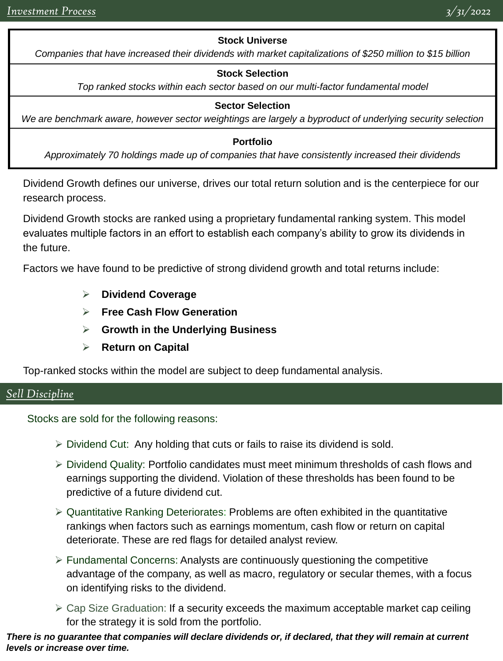### **Stock Universe**

*Companies that have increased their dividends with market capitalizations of \$250 million to \$15 billion*

#### **Stock Selection**

*Top ranked stocks within each sector based on our multi-factor fundamental model*

#### **Sector Selection**

*We are benchmark aware, however sector weightings are largely a byproduct of underlying security selection*

#### **Portfolio**

*Approximately 70 holdings made up of companies that have consistently increased their dividends*

Dividend Growth defines our universe, drives our total return solution and is the centerpiece for our research process.

Dividend Growth stocks are ranked using a proprietary fundamental ranking system. This model evaluates multiple factors in an effort to establish each company's ability to grow its dividends in the future.

Factors we have found to be predictive of strong dividend growth and total returns include:

- ➢ **Dividend Coverage**
- ➢ **Free Cash Flow Generation**
- ➢ **Growth in the Underlying Business**
- ➢ **Return on Capital**

Top-ranked stocks within the model are subject to deep fundamental analysis.

### *Sell Discipline*

Stocks are sold for the following reasons:

- $\triangleright$  Dividend Cut: Any holding that cuts or fails to raise its dividend is sold.
- ➢ Dividend Quality: Portfolio candidates must meet minimum thresholds of cash flows and earnings supporting the dividend. Violation of these thresholds has been found to be predictive of a future dividend cut.
- $\triangleright$  Quantitative Ranking Deteriorates: Problems are often exhibited in the quantitative rankings when factors such as earnings momentum, cash flow or return on capital deteriorate. These are red flags for detailed analyst review.
- $\triangleright$  Fundamental Concerns: Analysts are continuously questioning the competitive advantage of the company, as well as macro, regulatory or secular themes, with a focus on identifying risks to the dividend.
- $\geq$  Cap Size Graduation: If a security exceeds the maximum acceptable market cap ceiling for the strategy it is sold from the portfolio.

*There is no guarantee that companies will declare dividends or, if declared, that they will remain at current levels or increase over time.*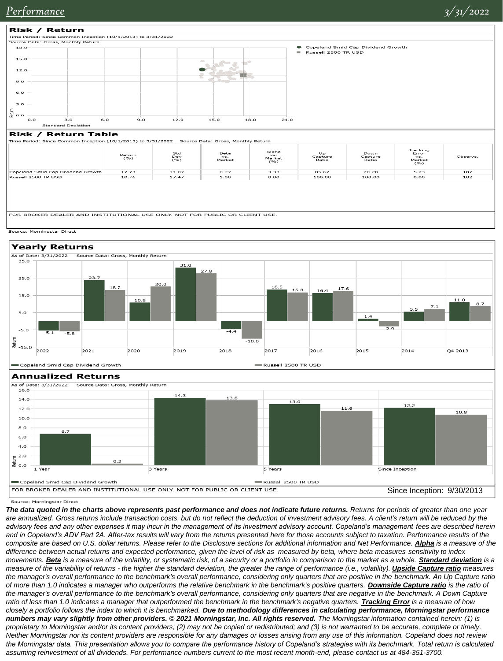Since Inception: 9/30/2013



FOR BROKER DEALER AND INSTITUTIONAL USE ONLY. NOT FOR PUBLIC OR CLIENT USE

FOR BROKER DEALER AND INSTITUTIONAL USE ONLY. NOT FOR PUBLIC OR CLIENT USE





Source: Morningstar Direct

Copeland Smid Cap Dividend Growth

*The data quoted in the charts above represents past performance and does not indicate future returns. Returns for periods of greater than one year*  are annualized. Gross returns include transaction costs, but do not reflect the deduction of investment advisory fees. A client's return will be reduced by the *advisory fees and any other expenses it may incur in the management of its investment advisory account. Copeland's management fees are described herein and in Copeland's ADV Part 2A. After-tax results will vary from the returns presented here for those accounts subject to taxation. Performance results of the composite are based on U.S. dollar returns. Please refer to the Disclosure sections for additional information and Net Performance. Alpha is a measure of the difference between actual returns and expected performance, given the level of risk as measured by beta, where beta measures sensitivity to index movements.* **Beta** is a measure of the volatility, or systematic risk, of a security or a portfolio in comparison to the market as a whole. **Standard deviation** is a *measure of the variability of returns - the higher the standard deviation, the greater the range of performance (i.e., volatility). <i>Upside Capture ratio* measures *the manager's overall performance to the benchmark's overall performance, considering only quarters that are positive in the benchmark. An Up Capture ratio of more than 1.0 indicates a manager who outperforms the relative benchmark in the benchmark's positive quarters. Downside Capture ratio is the ratio of*  the manager's overall performance to the benchmark's overall performance, considering only quarters that are negative in the benchmark. A Down Capture ratio of less than 1.0 indicates a manager that outperformed the benchmark in the benchmark's negative quarters. *Tracking Error* is a measure of how *closely a portfolio follows the index to which it is benchmarked. Due to methodology differences in calculating performance, Morningstar performance numbers may vary slightly from other providers. © 2021 Morningstar, Inc. All rights reserved. The Morningstar information contained herein: (1) is proprietary to Morningstar and/or its content providers; (2) may not be copied or redistributed; and (3) is not warranted to be accurate, complete or timely. Neither Morningstar nor its content providers are responsible for any damages or losses arising from any use of this information. Copeland does not review the Morningstar data. This presentation allows you to compare the performance history of Copeland's strategies with its benchmark. Total return is calculated assuming reinvestment of all dividends. For performance numbers current to the most recent month-end, please contact us at 484-351-3700.*

Russell 2500 TR USD